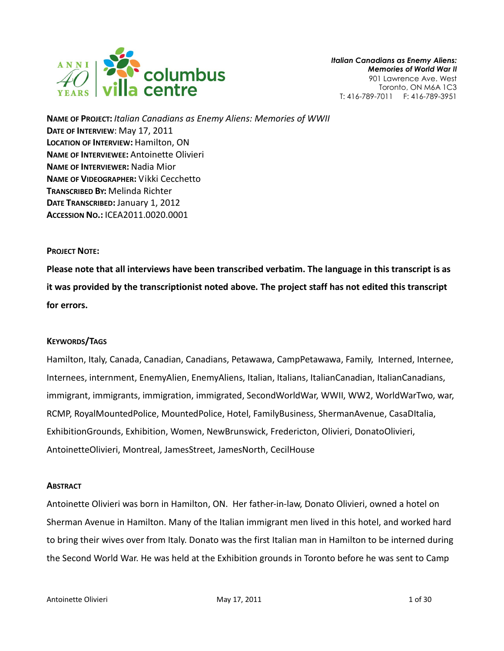

NAME OF PROJECT: Italian Canadians as Enemy Aliens: Memories of WWII DATE OF INTERVIEW: May 17, 2011 LOCATION OF INTERVIEW: Hamilton, ON NAME OF INTERVIEWEE: Antoinette Olivieri NAME OF INTERVIEWER: Nadia Mior NAME OF VIDEOGRAPHER: Vikki Cecchetto TRANSCRIBED BY: Melinda Richter DATE TRANSCRIBED: January 1, 2012 ACCESSION NO.: ICEA2011.0020.0001

## PROJECT NOTE:

Please note that all interviews have been transcribed verbatim. The language in this transcript is as it was provided by the transcriptionist noted above. The project staff has not edited this transcript for errors.

## KEYWORDS/TAGS

Hamilton, Italy, Canada, Canadian, Canadians, Petawawa, CampPetawawa, Family, Interned, Internee, Internees, internment, EnemyAlien, EnemyAliens, Italian, Italians, ItalianCanadian, ItalianCanadians, immigrant, immigrants, immigration, immigrated, SecondWorldWar, WWII, WW2, WorldWarTwo, war, RCMP, RoyalMountedPolice, MountedPolice, Hotel, FamilyBusiness, ShermanAvenue, CasaDItalia, ExhibitionGrounds, Exhibition, Women, NewBrunswick, Fredericton, Olivieri, DonatoOlivieri, AntoinetteOlivieri, Montreal, JamesStreet, JamesNorth, CecilHouse

## **ABSTRACT**

Antoinette Olivieri was born in Hamilton, ON. Her father-in-law, Donato Olivieri, owned a hotel on Sherman Avenue in Hamilton. Many of the Italian immigrant men lived in this hotel, and worked hard to bring their wives over from Italy. Donato was the first Italian man in Hamilton to be interned during the Second World War. He was held at the Exhibition grounds in Toronto before he was sent to Camp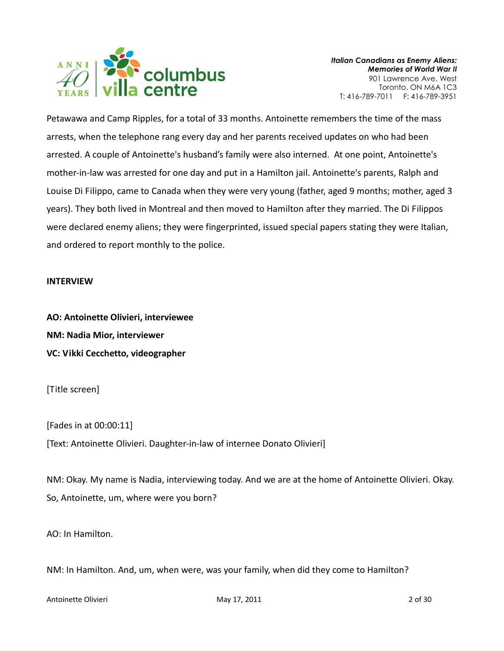

Petawawa and Camp Ripples, for a total of 33 months. Antoinette remembers the time of the mass arrests, when the telephone rang every day and her parents received updates on who had been arrested. A couple of Antoinette's husband's family were also interned. At one point, Antoinette's mother-in-law was arrested for one day and put in a Hamilton jail. Antoinette's parents, Ralph and Louise Di Filippo, came to Canada when they were very young (father, aged 9 months; mother, aged 3 years). They both lived in Montreal and then moved to Hamilton after they married. The Di Filippos were declared enemy aliens; they were fingerprinted, issued special papers stating they were Italian, and ordered to report monthly to the police.

## INTERVIEW

AO: Antoinette Olivieri, interviewee NM: Nadia Mior, interviewer VC: Vikki Cecchetto, videographer

[Title screen]

[Fades in at 00:00:11]

[Text: Antoinette Olivieri. Daughter-in-law of internee Donato Olivieri]

NM: Okay. My name is Nadia, interviewing today. And we are at the home of Antoinette Olivieri. Okay. So, Antoinette, um, where were you born?

AO: In Hamilton.

NM: In Hamilton. And, um, when were, was your family, when did they come to Hamilton?

Antoinette Olivieri and Communication of the May 17, 2011 and Communication of 30 and 2 of 30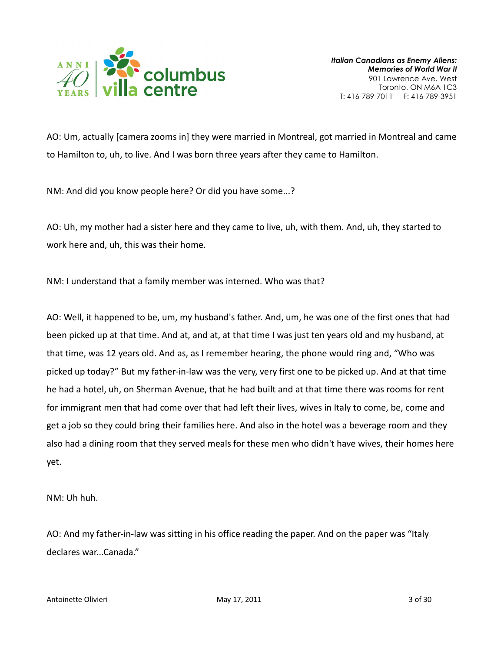

AO: Um, actually [camera zooms in] they were married in Montreal, got married in Montreal and came to Hamilton to, uh, to live. And I was born three years after they came to Hamilton.

NM: And did you know people here? Or did you have some...?

AO: Uh, my mother had a sister here and they came to live, uh, with them. And, uh, they started to work here and, uh, this was their home.

NM: I understand that a family member was interned. Who was that?

AO: Well, it happened to be, um, my husband's father. And, um, he was one of the first ones that had been picked up at that time. And at, and at, at that time I was just ten years old and my husband, at that time, was 12 years old. And as, as I remember hearing, the phone would ring and, "Who was picked up today?" But my father-in-law was the very, very first one to be picked up. And at that time he had a hotel, uh, on Sherman Avenue, that he had built and at that time there was rooms for rent for immigrant men that had come over that had left their lives, wives in Italy to come, be, come and get a job so they could bring their families here. And also in the hotel was a beverage room and they also had a dining room that they served meals for these men who didn't have wives, their homes here yet.

NM: Uh huh.

AO: And my father-in-law was sitting in his office reading the paper. And on the paper was "Italy declares war...Canada."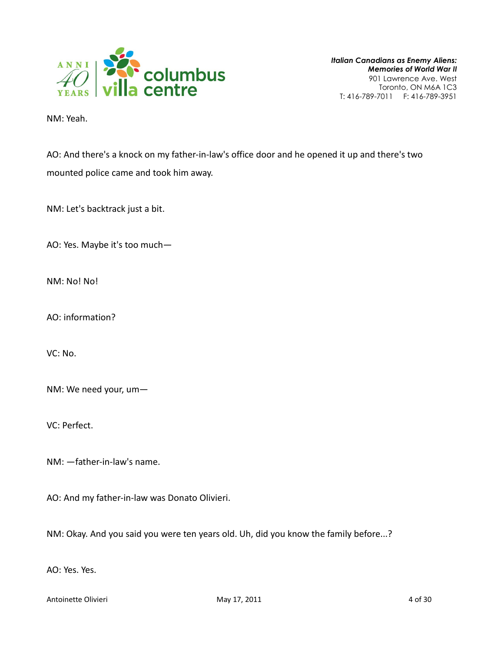

NM: Yeah.

AO: And there's a knock on my father-in-law's office door and he opened it up and there's two mounted police came and took him away.

NM: Let's backtrack just a bit.

AO: Yes. Maybe it's too much—

NM: No! No!

AO: information?

VC: No.

NM: We need your, um—

VC: Perfect.

NM: —father-in-law's name.

AO: And my father-in-law was Donato Olivieri.

NM: Okay. And you said you were ten years old. Uh, did you know the family before...?

AO: Yes. Yes.

Antoinette Olivieri and Antoinette Olivieri May 17, 2011 **Antoinette Olivieri** 4 of 30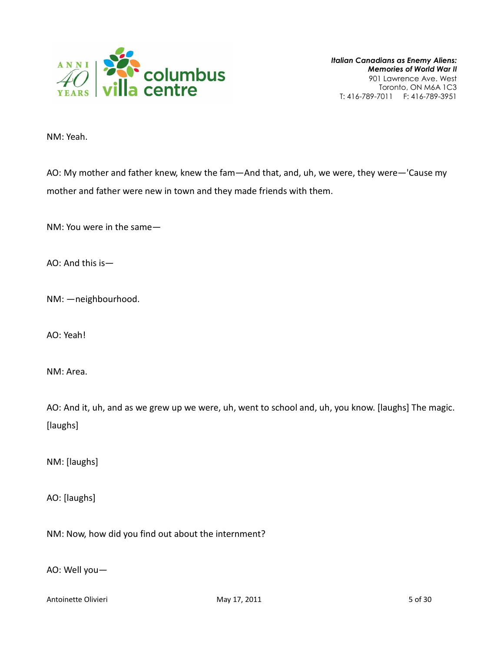

NM: Yeah.

AO: My mother and father knew, knew the fam—And that, and, uh, we were, they were—'Cause my mother and father were new in town and they made friends with them.

NM: You were in the same—

AO: And this is—

NM: —neighbourhood.

AO: Yeah!

NM: Area.

AO: And it, uh, and as we grew up we were, uh, went to school and, uh, you know. [laughs] The magic. [laughs]

NM: [laughs]

AO: [laughs]

NM: Now, how did you find out about the internment?

AO: Well you—

Antoinette Olivieri **May 17, 2011** 5 of 30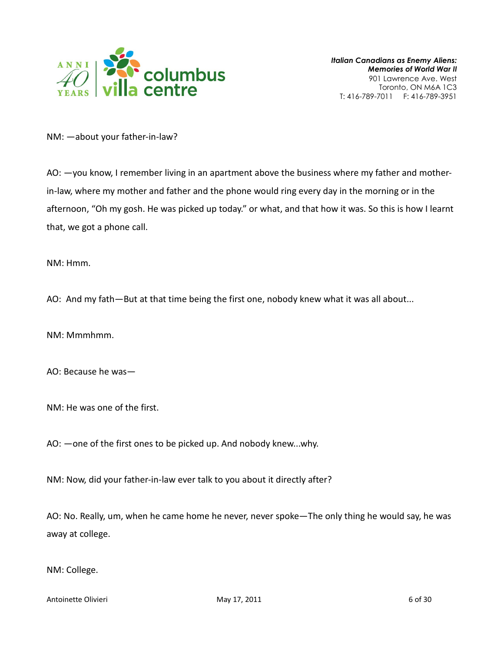

NM: —about your father-in-law?

AO: —you know, I remember living in an apartment above the business where my father and motherin-law, where my mother and father and the phone would ring every day in the morning or in the afternoon, "Oh my gosh. He was picked up today." or what, and that how it was. So this is how I learnt that, we got a phone call.

NM: Hmm.

AO: And my fath—But at that time being the first one, nobody knew what it was all about...

NM: Mmmhmm.

AO: Because he was—

NM: He was one of the first.

AO: —one of the first ones to be picked up. And nobody knew...why.

NM: Now, did your father-in-law ever talk to you about it directly after?

AO: No. Really, um, when he came home he never, never spoke—The only thing he would say, he was away at college.

NM: College.

Antoinette Olivieri **May 17, 2011** 6 of 30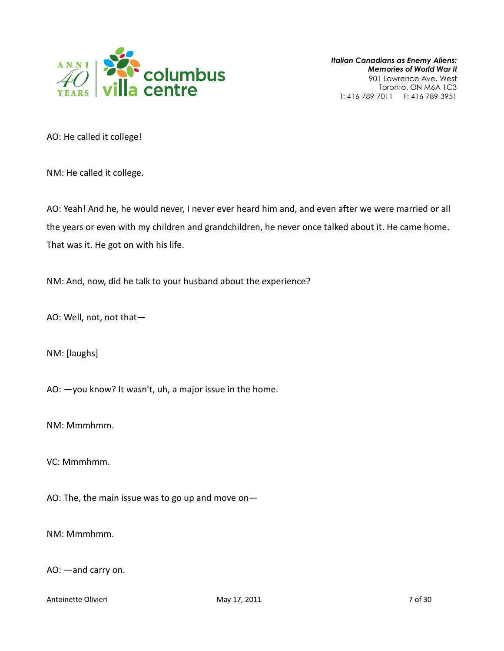

AO: He called it college!

NM: He called it college.

AO: Yeah! And he, he would never, I never ever heard him and, and even after we were married or all the years or even with my children and grandchildren, he never once talked about it. He came home. That was it. He got on with his life.

NM: And, now, did he talk to your husband about the experience?

AO: Well, not, not that—

NM: [laughs]

AO: —you know? It wasn't, uh, a major issue in the home.

NM: Mmmhmm.

VC: Mmmhmm.

AO: The, the main issue was to go up and move on—

NM: Mmmhmm.

AO: —and carry on.

Antoinette Olivieri **May 17, 2011** 2011 2012 12:05:06 2012 2014 2019 2019 2014 2014 2014 2014 2014 2014 2015 2016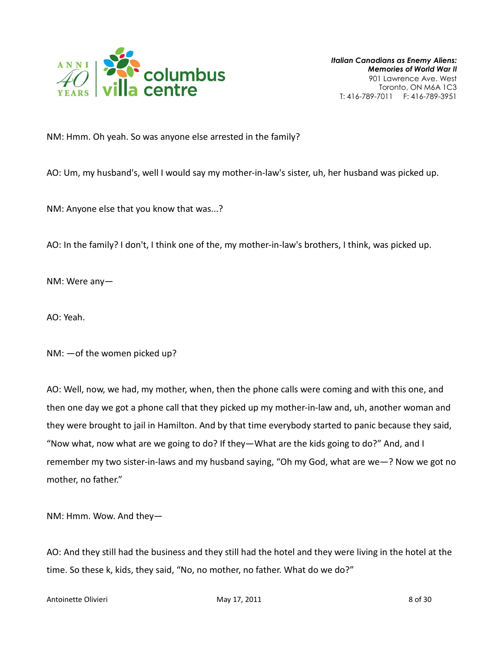

NM: Hmm. Oh yeah. So was anyone else arrested in the family?

AO: Um, my husband's, well I would say my mother-in-law's sister, uh, her husband was picked up.

NM: Anyone else that you know that was...?

AO: In the family? I don't, I think one of the, my mother-in-law's brothers, I think, was picked up.

NM: Were any—

AO: Yeah.

NM: —of the women picked up?

AO: Well, now, we had, my mother, when, then the phone calls were coming and with this one, and then one day we got a phone call that they picked up my mother-in-law and, uh, another woman and they were brought to jail in Hamilton. And by that time everybody started to panic because they said, "Now what, now what are we going to do? If they—What are the kids going to do?" And, and I remember my two sister-in-laws and my husband saying, "Oh my God, what are we—? Now we got no mother, no father."

NM: Hmm. Wow. And they—

AO: And they still had the business and they still had the hotel and they were living in the hotel at the time. So these k, kids, they said, "No, no mother, no father. What do we do?"

Antoinette Olivieri and Communication of the May 17, 2011 and Communication of the South South Books and South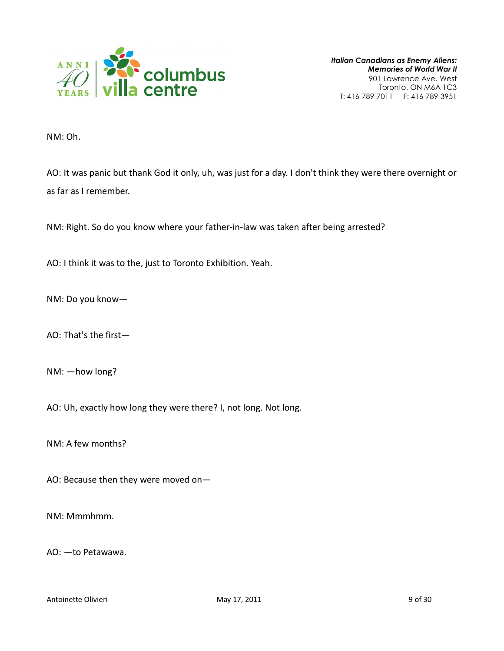

NM: Oh.

AO: It was panic but thank God it only, uh, was just for a day. I don't think they were there overnight or as far as I remember.

NM: Right. So do you know where your father-in-law was taken after being arrested?

AO: I think it was to the, just to Toronto Exhibition. Yeah.

NM: Do you know—

AO: That's the first—

NM: —how long?

AO: Uh, exactly how long they were there? I, not long. Not long.

NM: A few months?

AO: Because then they were moved on—

NM: Mmmhmm.

AO: —to Petawawa.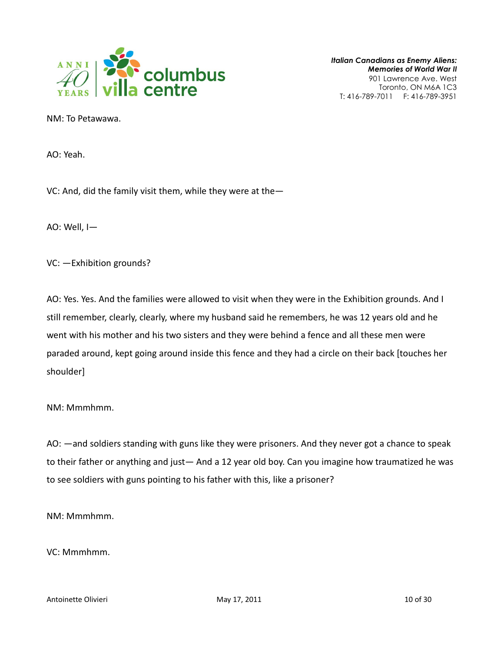

NM: To Petawawa.

AO: Yeah.

VC: And, did the family visit them, while they were at the—

AO: Well, I—

VC: —Exhibition grounds?

AO: Yes. Yes. And the families were allowed to visit when they were in the Exhibition grounds. And I still remember, clearly, clearly, where my husband said he remembers, he was 12 years old and he went with his mother and his two sisters and they were behind a fence and all these men were paraded around, kept going around inside this fence and they had a circle on their back [touches her shoulder]

NM: Mmmhmm.

AO: —and soldiers standing with guns like they were prisoners. And they never got a chance to speak to their father or anything and just— And a 12 year old boy. Can you imagine how traumatized he was to see soldiers with guns pointing to his father with this, like a prisoner?

NM: Mmmhmm.

VC: Mmmhmm.

Antoinette Olivieri and Communication of 30 May 17, 2011 10 Of 30 May 17, 2011 10 Of 30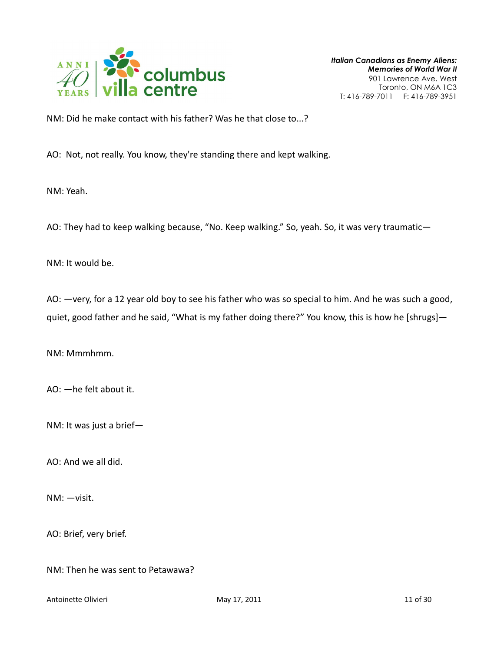

NM: Did he make contact with his father? Was he that close to...?

AO: Not, not really. You know, they're standing there and kept walking.

NM: Yeah.

AO: They had to keep walking because, "No. Keep walking." So, yeah. So, it was very traumatic—

NM: It would be.

AO: —very, for a 12 year old boy to see his father who was so special to him. And he was such a good, quiet, good father and he said, "What is my father doing there?" You know, this is how he [shrugs]-

NM: Mmmhmm.

AO: —he felt about it.

NM: It was just a brief—

AO: And we all did.

NM: —visit.

AO: Brief, very brief.

NM: Then he was sent to Petawawa?

Antoinette Olivieri 11 of 30 antoinette Olivieri 11 of 30 antoinette Olivieri 11 of 30 antoinette Olivieri 11 of 30 antoinette Olivieri 11 of 30 antoinette Olivieri 11 of 30 antoinette Olivieri 11 of 30 antoinette Olivieri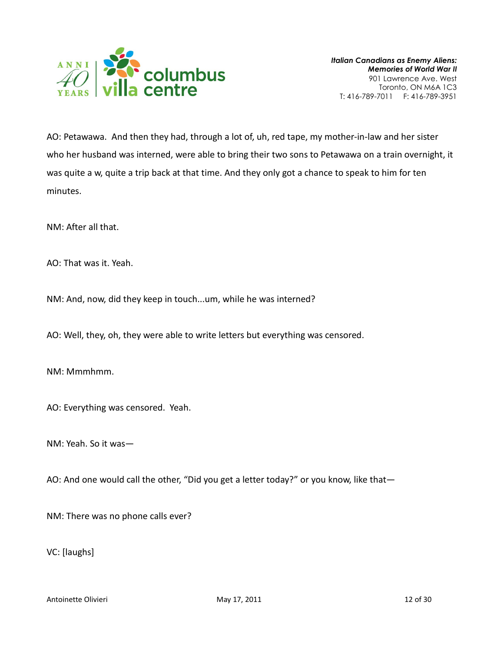

AO: Petawawa. And then they had, through a lot of, uh, red tape, my mother-in-law and her sister who her husband was interned, were able to bring their two sons to Petawawa on a train overnight, it was quite a w, quite a trip back at that time. And they only got a chance to speak to him for ten minutes.

NM: After all that.

AO: That was it. Yeah.

NM: And, now, did they keep in touch...um, while he was interned?

AO: Well, they, oh, they were able to write letters but everything was censored.

NM: Mmmhmm.

AO: Everything was censored. Yeah.

NM: Yeah. So it was—

AO: And one would call the other, "Did you get a letter today?" or you know, like that-

NM: There was no phone calls ever?

VC: [laughs]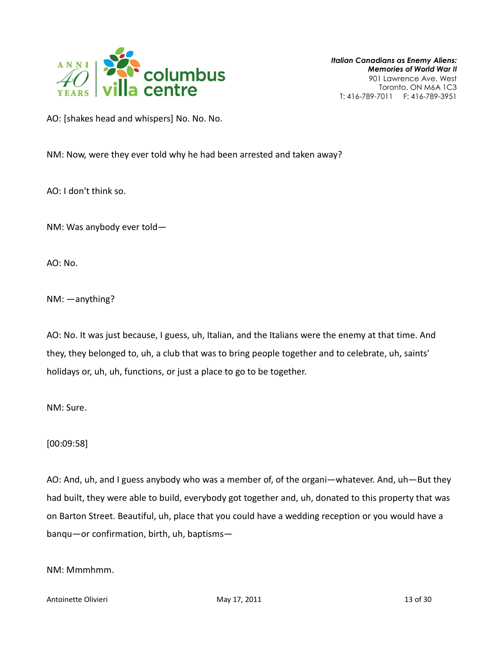

AO: [shakes head and whispers] No. No. No.

NM: Now, were they ever told why he had been arrested and taken away?

AO: I don't think so.

NM: Was anybody ever told—

AO: No.

NM: —anything?

AO: No. It was just because, I guess, uh, Italian, and the Italians were the enemy at that time. And they, they belonged to, uh, a club that was to bring people together and to celebrate, uh, saints' holidays or, uh, uh, functions, or just a place to go to be together.

NM: Sure.

[00:09:58]

AO: And, uh, and I guess anybody who was a member of, of the organi—whatever. And, uh—But they had built, they were able to build, everybody got together and, uh, donated to this property that was on Barton Street. Beautiful, uh, place that you could have a wedding reception or you would have a banqu—or confirmation, birth, uh, baptisms—

NM: Mmmhmm.

Antoinette Olivieri 13 of 30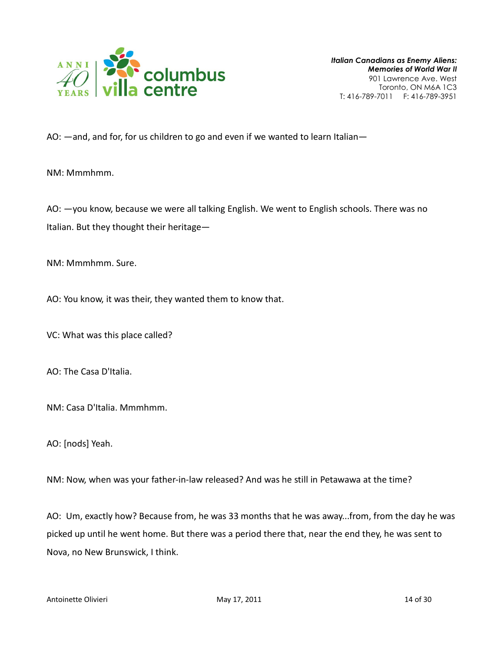

AO: —and, and for, for us children to go and even if we wanted to learn Italian—

NM: Mmmhmm.

AO: —you know, because we were all talking English. We went to English schools. There was no Italian. But they thought their heritage—

NM: Mmmhmm. Sure.

AO: You know, it was their, they wanted them to know that.

VC: What was this place called?

AO: The Casa D'Italia.

NM: Casa D'Italia. Mmmhmm.

AO: [nods] Yeah.

NM: Now, when was your father-in-law released? And was he still in Petawawa at the time?

AO: Um, exactly how? Because from, he was 33 months that he was away...from, from the day he was picked up until he went home. But there was a period there that, near the end they, he was sent to Nova, no New Brunswick, I think.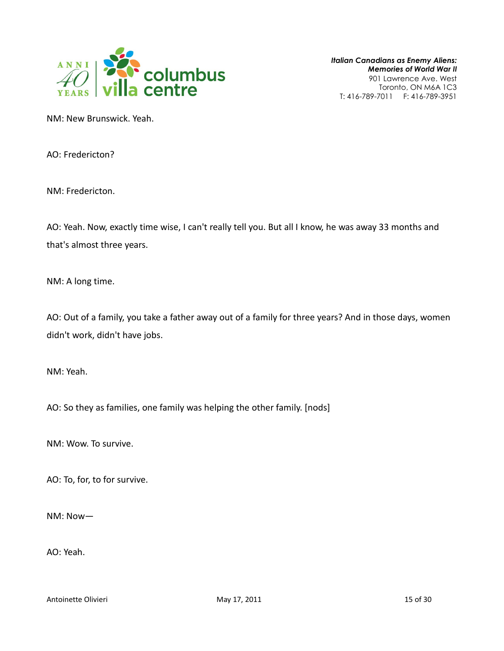

NM: New Brunswick. Yeah.

AO: Fredericton?

NM: Fredericton.

AO: Yeah. Now, exactly time wise, I can't really tell you. But all I know, he was away 33 months and that's almost three years.

NM: A long time.

AO: Out of a family, you take a father away out of a family for three years? And in those days, women didn't work, didn't have jobs.

NM: Yeah.

AO: So they as families, one family was helping the other family. [nods]

NM: Wow. To survive.

AO: To, for, to for survive.

NM: Now—

AO: Yeah.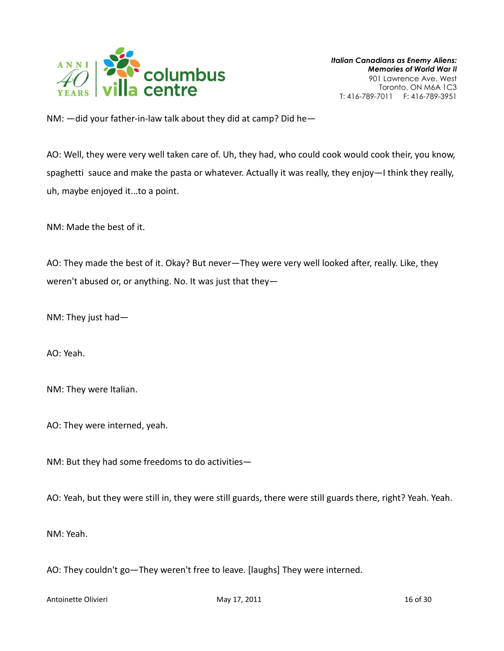

NM: —did your father-in-law talk about they did at camp? Did he—

AO: Well, they were very well taken care of. Uh, they had, who could cook would cook their, you know, spaghetti sauce and make the pasta or whatever. Actually it was really, they enjoy—I think they really, uh, maybe enjoyed it...to a point.

NM: Made the best of it.

AO: They made the best of it. Okay? But never—They were very well looked after, really. Like, they weren't abused or, or anything. No. It was just that they—

NM: They just had—

AO: Yeah.

NM: They were Italian.

AO: They were interned, yeah.

NM: But they had some freedoms to do activities—

AO: Yeah, but they were still in, they were still guards, there were still guards there, right? Yeah. Yeah.

NM: Yeah.

AO: They couldn't go—They weren't free to leave. [laughs] They were interned.

Antoinette Olivieri **May 17, 2011** 16 of 30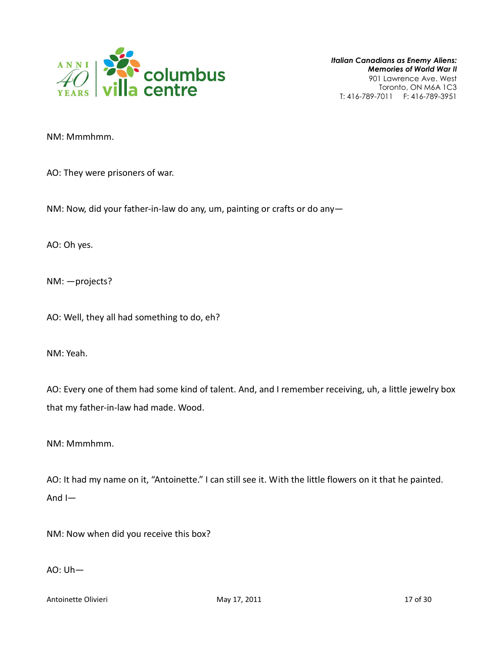

NM: Mmmhmm.

AO: They were prisoners of war.

NM: Now, did your father-in-law do any, um, painting or crafts or do any—

AO: Oh yes.

NM: —projects?

AO: Well, they all had something to do, eh?

NM: Yeah.

AO: Every one of them had some kind of talent. And, and I remember receiving, uh, a little jewelry box that my father-in-law had made. Wood.

NM: Mmmhmm.

AO: It had my name on it, "Antoinette." I can still see it. With the little flowers on it that he painted. And I—

NM: Now when did you receive this box?

AO: Uh—

Antoinette Olivieri **May 17, 2011** 17 of 30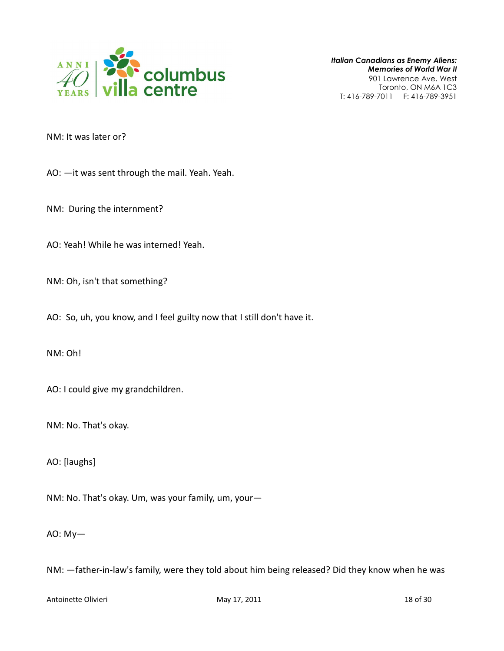

NM: It was later or?

AO: —it was sent through the mail. Yeah. Yeah.

NM: During the internment?

AO: Yeah! While he was interned! Yeah.

NM: Oh, isn't that something?

AO: So, uh, you know, and I feel guilty now that I still don't have it.

NM: Oh!

AO: I could give my grandchildren.

NM: No. That's okay.

AO: [laughs]

NM: No. That's okay. Um, was your family, um, your—

AO: My—

NM: —father-in-law's family, were they told about him being released? Did they know when he was

Antoinette Olivieri **May 17, 2011** 18 of 30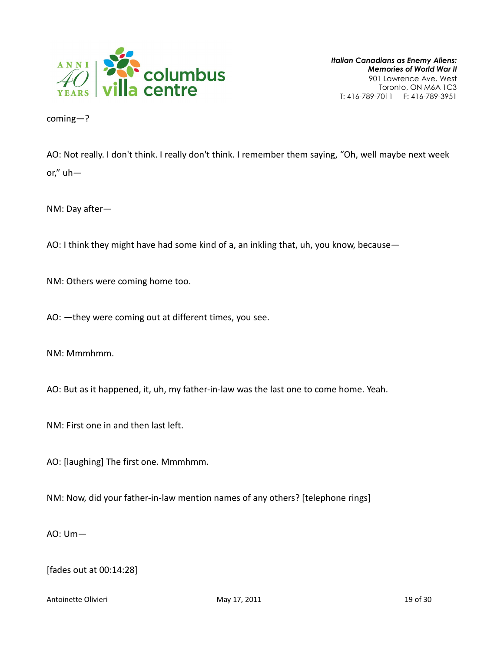

coming—?

AO: Not really. I don't think. I really don't think. I remember them saying, "Oh, well maybe next week or," uh—

NM: Day after—

AO: I think they might have had some kind of a, an inkling that, uh, you know, because—

NM: Others were coming home too.

AO: —they were coming out at different times, you see.

NM: Mmmhmm.

AO: But as it happened, it, uh, my father-in-law was the last one to come home. Yeah.

NM: First one in and then last left.

AO: [laughing] The first one. Mmmhmm.

NM: Now, did your father-in-law mention names of any others? [telephone rings]

AO: Um—

[fades out at 00:14:28]

Antoinette Olivieri **May 17, 2011** 19 of 30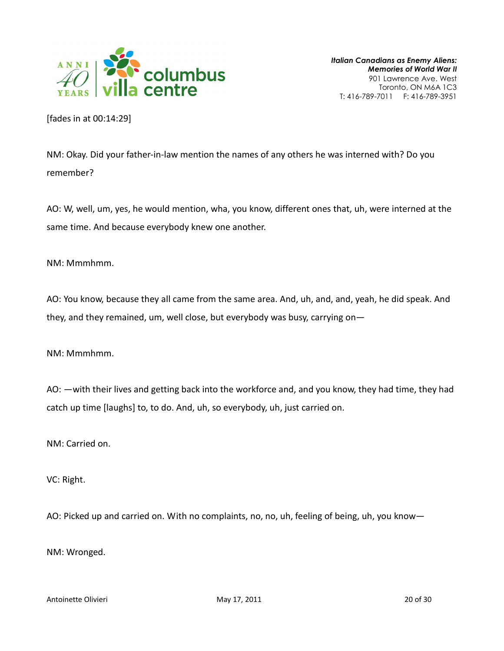

[fades in at 00:14:29]

NM: Okay. Did your father-in-law mention the names of any others he was interned with? Do you remember?

AO: W, well, um, yes, he would mention, wha, you know, different ones that, uh, were interned at the same time. And because everybody knew one another.

NM: Mmmhmm.

AO: You know, because they all came from the same area. And, uh, and, and, yeah, he did speak. And they, and they remained, um, well close, but everybody was busy, carrying on—

NM: Mmmhmm.

AO: —with their lives and getting back into the workforce and, and you know, they had time, they had catch up time [laughs] to, to do. And, uh, so everybody, uh, just carried on.

NM: Carried on.

VC: Right.

AO: Picked up and carried on. With no complaints, no, no, uh, feeling of being, uh, you know—

NM: Wronged.

Antoinette Olivieri and Communication of the May 17, 2011 and Communication of 30 of 30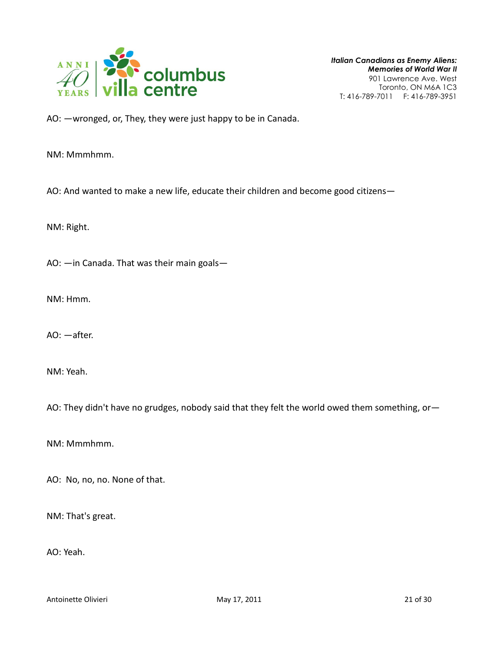

AO: —wronged, or, They, they were just happy to be in Canada.

NM: Mmmhmm.

AO: And wanted to make a new life, educate their children and become good citizens—

NM: Right.

AO: —in Canada. That was their main goals—

NM: Hmm.

AO: —after.

NM: Yeah.

AO: They didn't have no grudges, nobody said that they felt the world owed them something, or-

NM: Mmmhmm.

AO: No, no, no. None of that.

NM: That's great.

AO: Yeah.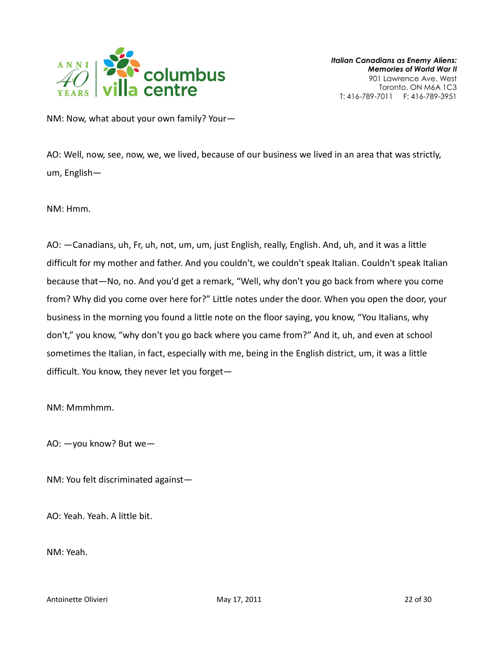

NM: Now, what about your own family? Your—

AO: Well, now, see, now, we, we lived, because of our business we lived in an area that was strictly, um, English—

NM: Hmm.

AO: —Canadians, uh, Fr, uh, not, um, um, just English, really, English. And, uh, and it was a little difficult for my mother and father. And you couldn't, we couldn't speak Italian. Couldn't speak Italian because that—No, no. And you'd get a remark, "Well, why don't you go back from where you come from? Why did you come over here for?" Little notes under the door. When you open the door, your business in the morning you found a little note on the floor saying, you know, "You Italians, why don't," you know, "why don't you go back where you came from?" And it, uh, and even at school sometimes the Italian, in fact, especially with me, being in the English district, um, it was a little difficult. You know, they never let you forget—

NM: Mmmhmm.

AO: —you know? But we—

NM: You felt discriminated against—

AO: Yeah. Yeah. A little bit.

NM: Yeah.

Antoinette Olivieri and Communication of May 17, 2011 **22 of 30** and 22 of 30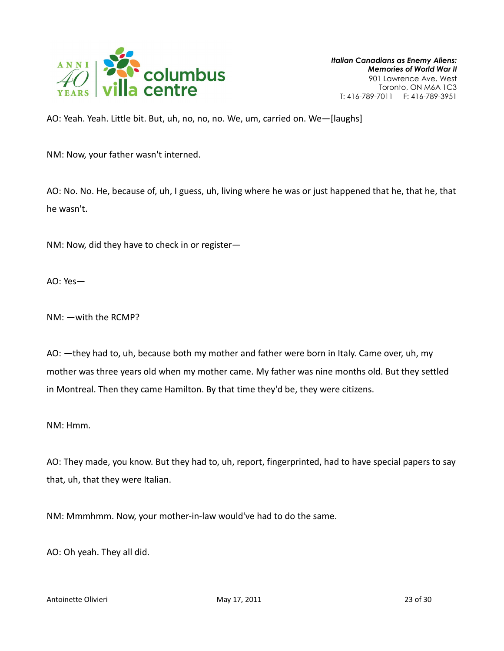

AO: Yeah. Yeah. Little bit. But, uh, no, no, no. We, um, carried on. We—[laughs]

NM: Now, your father wasn't interned.

AO: No. No. He, because of, uh, I guess, uh, living where he was or just happened that he, that he, that he wasn't.

NM: Now, did they have to check in or register—

AO: Yes—

NM: —with the RCMP?

AO: —they had to, uh, because both my mother and father were born in Italy. Came over, uh, my mother was three years old when my mother came. My father was nine months old. But they settled in Montreal. Then they came Hamilton. By that time they'd be, they were citizens.

NM: Hmm.

AO: They made, you know. But they had to, uh, report, fingerprinted, had to have special papers to say that, uh, that they were Italian.

NM: Mmmhmm. Now, your mother-in-law would've had to do the same.

AO: Oh yeah. They all did.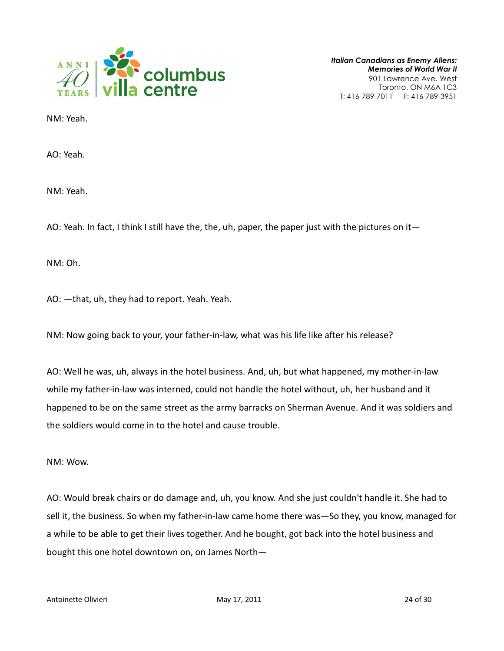

NM: Yeah.

AO: Yeah.

NM: Yeah.

AO: Yeah. In fact, I think I still have the, the, uh, paper, the paper just with the pictures on it—

NM: Oh.

AO: —that, uh, they had to report. Yeah. Yeah.

NM: Now going back to your, your father-in-law, what was his life like after his release?

AO: Well he was, uh, always in the hotel business. And, uh, but what happened, my mother-in-law while my father-in-law was interned, could not handle the hotel without, uh, her husband and it happened to be on the same street as the army barracks on Sherman Avenue. And it was soldiers and the soldiers would come in to the hotel and cause trouble.

NM: Wow.

AO: Would break chairs or do damage and, uh, you know. And she just couldn't handle it. She had to sell it, the business. So when my father-in-law came home there was—So they, you know, managed for a while to be able to get their lives together. And he bought, got back into the hotel business and bought this one hotel downtown on, on James North—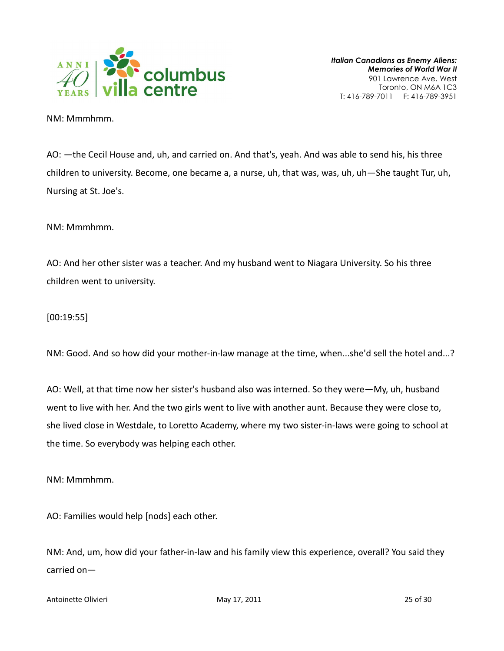

NM: Mmmhmm.

AO: —the Cecil House and, uh, and carried on. And that's, yeah. And was able to send his, his three children to university. Become, one became a, a nurse, uh, that was, was, uh, uh—She taught Tur, uh, Nursing at St. Joe's.

NM: Mmmhmm.

AO: And her other sister was a teacher. And my husband went to Niagara University. So his three children went to university.

[00:19:55]

NM: Good. And so how did your mother-in-law manage at the time, when...she'd sell the hotel and...?

AO: Well, at that time now her sister's husband also was interned. So they were—My, uh, husband went to live with her. And the two girls went to live with another aunt. Because they were close to, she lived close in Westdale, to Loretto Academy, where my two sister-in-laws were going to school at the time. So everybody was helping each other.

NM: Mmmhmm.

AO: Families would help [nods] each other.

NM: And, um, how did your father-in-law and his family view this experience, overall? You said they carried on—

Antoinette Olivieri **May 17, 2011** 25 of 30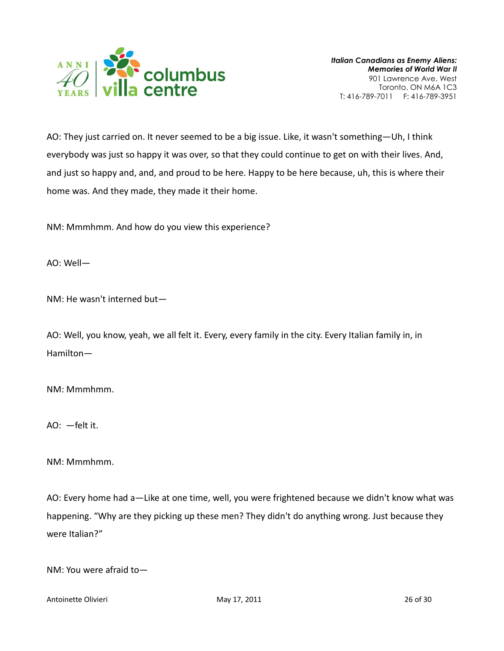

AO: They just carried on. It never seemed to be a big issue. Like, it wasn't something—Uh, I think everybody was just so happy it was over, so that they could continue to get on with their lives. And, and just so happy and, and, and proud to be here. Happy to be here because, uh, this is where their home was. And they made, they made it their home.

NM: Mmmhmm. And how do you view this experience?

AO: Well—

NM: He wasn't interned but—

AO: Well, you know, yeah, we all felt it. Every, every family in the city. Every Italian family in, in Hamilton—

NM: Mmmhmm.

AO: —felt it.

NM: Mmmhmm.

AO: Every home had a—Like at one time, well, you were frightened because we didn't know what was happening. "Why are they picking up these men? They didn't do anything wrong. Just because they were Italian?"

NM: You were afraid to—

Antoinette Olivieri **May 17, 2011** 26 of 30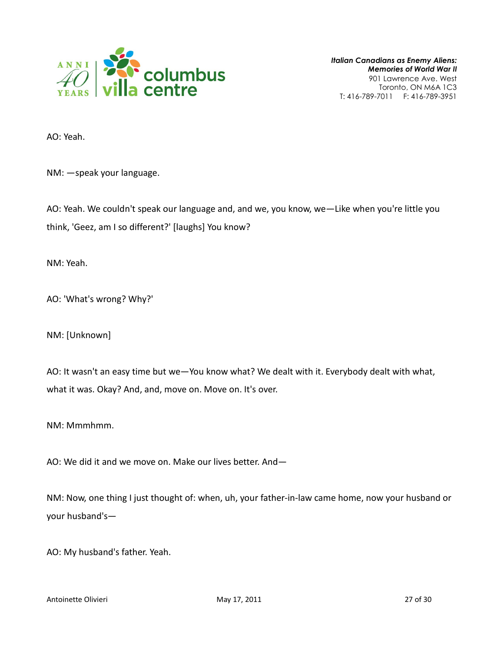

AO: Yeah.

NM: —speak your language.

AO: Yeah. We couldn't speak our language and, and we, you know, we—Like when you're little you think, 'Geez, am I so different?' [laughs] You know?

NM: Yeah.

AO: 'What's wrong? Why?'

NM: [Unknown]

AO: It wasn't an easy time but we—You know what? We dealt with it. Everybody dealt with what, what it was. Okay? And, and, move on. Move on. It's over.

NM: Mmmhmm.

AO: We did it and we move on. Make our lives better. And—

NM: Now, one thing I just thought of: when, uh, your father-in-law came home, now your husband or your husband's—

AO: My husband's father. Yeah.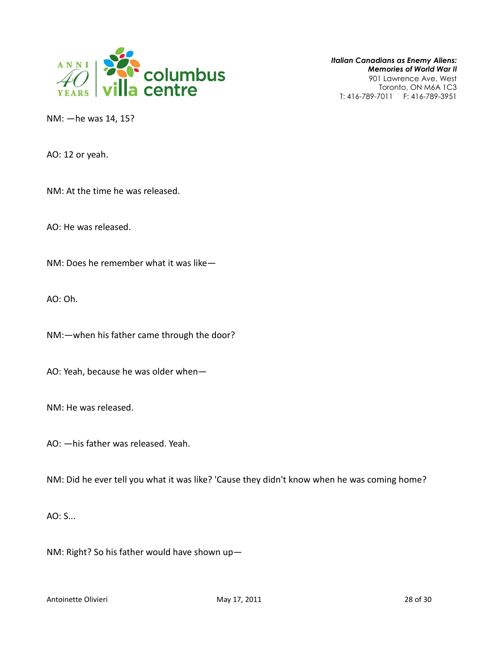

Italian Canadians as Enemy Aliens: Memories of World War II 901 Lawrence Ave. West

Toronto, ON M6A 1C3 T: 416-789-7011 F: 416-789-3951

NM: —he was 14, 15?

AO: 12 or yeah.

NM: At the time he was released.

AO: He was released.

NM: Does he remember what it was like—

AO: Oh.

NM:—when his father came through the door?

AO: Yeah, because he was older when—

NM: He was released.

AO: —his father was released. Yeah.

NM: Did he ever tell you what it was like? 'Cause they didn't know when he was coming home?

AO: S...

NM: Right? So his father would have shown up—

Antoinette Olivieri and Communication of May 17, 2011 **28 of 30** and 28 of 30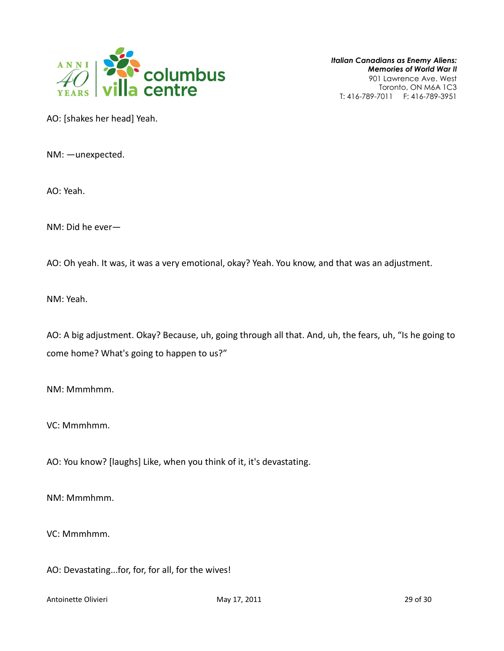

AO: [shakes her head] Yeah.

NM: —unexpected.

AO: Yeah.

NM: Did he ever—

AO: Oh yeah. It was, it was a very emotional, okay? Yeah. You know, and that was an adjustment.

NM: Yeah.

AO: A big adjustment. Okay? Because, uh, going through all that. And, uh, the fears, uh, "Is he going to come home? What's going to happen to us?"

NM: Mmmhmm.

VC: Mmmhmm.

AO: You know? [laughs] Like, when you think of it, it's devastating.

NM: Mmmhmm.

VC: Mmmhmm.

AO: Devastating...for, for, for all, for the wives!

Antoinette Olivieri **May 17, 2011** 29 of 30